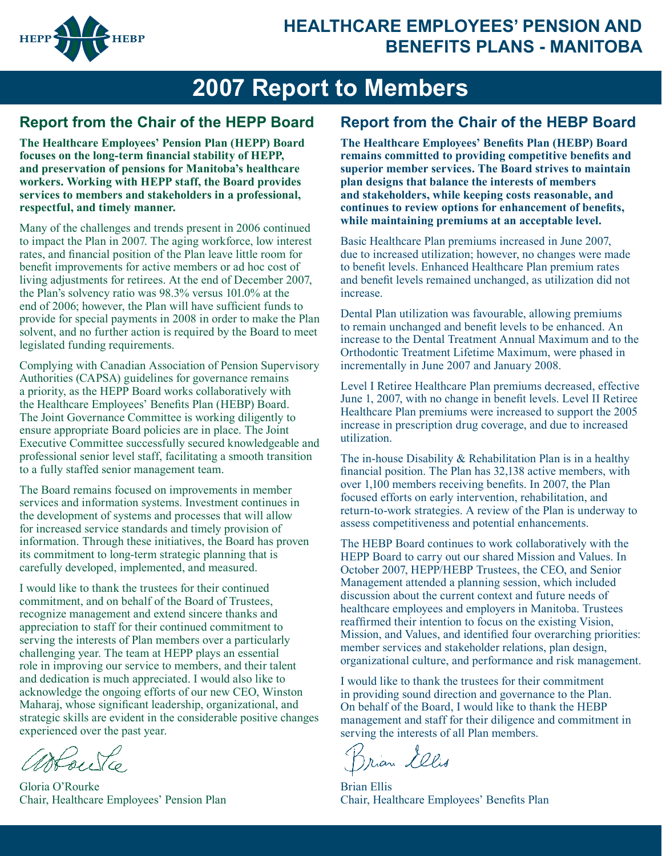

## **HEALTHCARE EMPLOYEES' PENSION AND BENEFITS PLANS - MANITOBA**

# **2007 Report to Members**

## **Report from the Chair of the HEPP Board Report from the Chair of the HEBP Board**

**The Healthcare Employees' Pension Plan (HEPP) Board focuses on the long-term financial stability of HEPP, and preservation of pensions for Manitoba's healthcare workers. Working with HEPP staff, the Board provides services to members and stakeholders in a professional, respectful, and timely manner.** 

Many of the challenges and trends present in 2006 continued to impact the Plan in 2007. The aging workforce, low interest rates, and financial position of the Plan leave little room for benefit improvements for active members or ad hoc cost of living adjustments for retirees. At the end of December 2007, the Plan's solvency ratio was 98.3% versus 101.0% at the end of 2006; however, the Plan will have sufficient funds to provide for special payments in 2008 in order to make the Plan solvent, and no further action is required by the Board to meet legislated funding requirements.

Complying with Canadian Association of Pension Supervisory Authorities (CAPSA) guidelines for governance remains a priority, as the HEPP Board works collaboratively with the Healthcare Employees' Benefits Plan (HEBP) Board. The Joint Governance Committee is working diligently to ensure appropriate Board policies are in place. The Joint Executive Committee successfully secured knowledgeable and professional senior level staff, facilitating a smooth transition to a fully staffed senior management team.

The Board remains focused on improvements in member services and information systems. Investment continues in the development of systems and processes that will allow for increased service standards and timely provision of information. Through these initiatives, the Board has proven its commitment to long-term strategic planning that is carefully developed, implemented, and measured.

I would like to thank the trustees for their continued commitment, and on behalf of the Board of Trustees, recognize management and extend sincere thanks and appreciation to staff for their continued commitment to serving the interests of Plan members over a particularly challenging year. The team at HEPP plays an essential role in improving our service to members, and their talent and dedication is much appreciated. I would also like to acknowledge the ongoing efforts of our new CEO, Winston Maharaj, whose significant leadership, organizational, and strategic skills are evident in the considerable positive changes experienced over the past year.

asfouta

Gloria O'Rourke Chair, Healthcare Employees' Pension Plan

**The Healthcare Employees' Benefits Plan (HEBP) Board remains committed to providing competitive benefits and superior member services. The Board strives to maintain plan designs that balance the interests of members and stakeholders, while keeping costs reasonable, and continues to review options for enhancement of benefits, while maintaining premiums at an acceptable level.**

Basic Healthcare Plan premiums increased in June 2007, due to increased utilization; however, no changes were made to benefit levels. Enhanced Healthcare Plan premium rates and benefit levels remained unchanged, as utilization did not increase.

Dental Plan utilization was favourable, allowing premiums to remain unchanged and benefit levels to be enhanced. An increase to the Dental Treatment Annual Maximum and to the Orthodontic Treatment Lifetime Maximum, were phased in incrementally in June 2007 and January 2008.

Level I Retiree Healthcare Plan premiums decreased, effective June 1, 2007, with no change in benefit levels. Level II Retiree Healthcare Plan premiums were increased to support the 2005 increase in prescription drug coverage, and due to increased utilization.

The in-house Disability & Rehabilitation Plan is in a healthy financial position. The Plan has 32,138 active members, with over 1,100 members receiving benefits. In 2007, the Plan focused efforts on early intervention, rehabilitation, and return-to-work strategies. A review of the Plan is underway to assess competitiveness and potential enhancements.

The HEBP Board continues to work collaboratively with the HEPP Board to carry out our shared Mission and Values. In October 2007, HEPP/HEBP Trustees, the CEO, and Senior Management attended a planning session, which included discussion about the current context and future needs of healthcare employees and employers in Manitoba. Trustees reaffirmed their intention to focus on the existing Vision, Mission, and Values, and identified four overarching priorities: member services and stakeholder relations, plan design, organizational culture, and performance and risk management.

I would like to thank the trustees for their commitment in providing sound direction and governance to the Plan. On behalf of the Board, I would like to thank the HEBP management and staff for their diligence and commitment in serving the interests of all Plan members.

Brian Lelis

Brian Ellis Chair, Healthcare Employees' Benefits Plan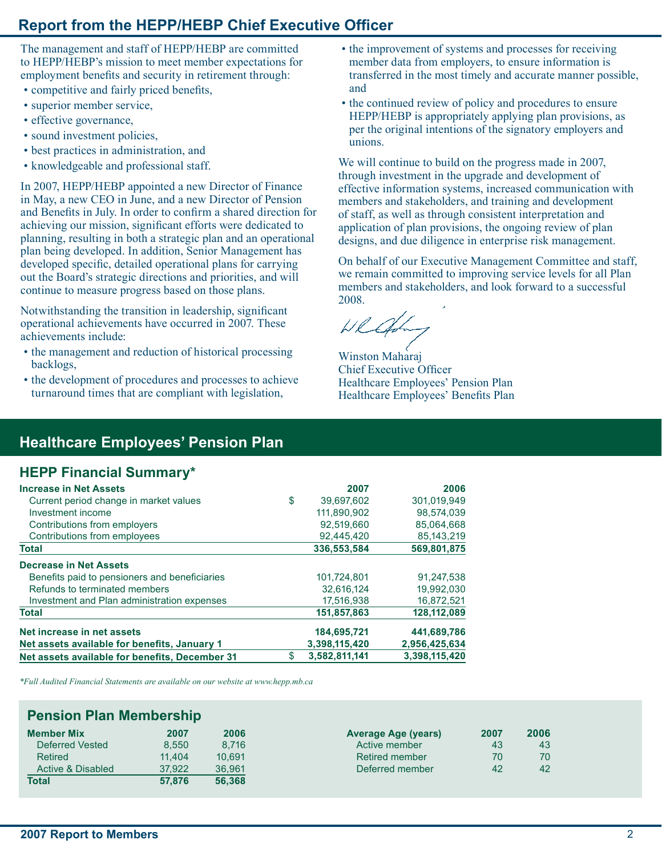## **Report from the HEPP/HEBP Chief Executive Officer**

The management and staff of HEPP/HEBP are committed to HEPP/HEBP's mission to meet member expectations for employment benefits and security in retirement through:

- competitive and fairly priced benefits,
- superior member service,
- effective governance,
- sound investment policies,
- best practices in administration, and
- knowledgeable and professional staff.

In 2007, HEPP/HEBP appointed a new Director of Finance in May, a new CEO in June, and a new Director of Pension and Benefits in July. In order to confirm a shared direction for achieving our mission, significant efforts were dedicated to planning, resulting in both a strategic plan and an operational plan being developed. In addition, Senior Management has developed specific, detailed operational plans for carrying out the Board's strategic directions and priorities, and will continue to measure progress based on those plans.

Notwithstanding the transition in leadership, significant operational achievements have occurred in 2007. These achievements include:

- the management and reduction of historical processing backlogs,
- the development of procedures and processes to achieve turnaround times that are compliant with legislation,
- the improvement of systems and processes for receiving member data from employers, to ensure information is transferred in the most timely and accurate manner possible, and
- the continued review of policy and procedures to ensure HEPP/HEBP is appropriately applying plan provisions, as per the original intentions of the signatory employers and unions.

We will continue to build on the progress made in 2007, through investment in the upgrade and development of effective information systems, increased communication with members and stakeholders, and training and development of staff, as well as through consistent interpretation and application of plan provisions, the ongoing review of plan designs, and due diligence in enterprise risk management.

On behalf of our Executive Management Committee and staff, we remain committed to improving service levels for all Plan members and stakeholders, and look forward to a successful 2008.

Wllad

Winston Maharaj Chief Executive Officer Healthcare Employees' Pension Plan Healthcare Employees' Benefits Plan

## **Healthcare Employees' Pension Plan**

## **HEPP Financial Summary\***

| <b>Increase in Net Assets</b>                  | 2007                | 2006          |
|------------------------------------------------|---------------------|---------------|
| Current period change in market values         | \$<br>39.697.602    | 301.019.949   |
| Investment income                              | 111.890.902         | 98.574.039    |
| Contributions from employers                   | 92.519.660          | 85.064.668    |
| Contributions from employees                   | 92,445,420          | 85, 143, 219  |
| <b>Total</b>                                   | 336,553,584         | 569,801,875   |
| Decrease in Net Assets                         |                     |               |
| Benefits paid to pensioners and beneficiaries  | 101,724,801         | 91.247.538    |
| Refunds to terminated members                  | 32.616.124          | 19.992.030    |
| Investment and Plan administration expenses    | 17,516,938          | 16,872,521    |
| <b>Total</b>                                   | 151.857.863         | 128,112,089   |
| Net increase in net assets                     | 184,695,721         | 441,689,786   |
| Net assets available for benefits, January 1   | 3,398,115,420       | 2,956,425,634 |
| Net assets available for benefits, December 31 | \$<br>3,582,811,141 | 3,398,115,420 |

*\*Full Audited Financial Statements are available on our website at www.hepp.mb.ca*

### **Pension Plan Membership**

| <b>Member Mix</b> | 2007   | 2006   | <b>Average Age (years)</b> | 2007 | 2006 |
|-------------------|--------|--------|----------------------------|------|------|
| Deferred Vested   | 8.550  | 8.716  | Active member              | 43   | 43   |
| Retired           | 11.404 | 10.691 | Retired member             | 70   | 70   |
| Active & Disabled | 37.922 | 36.961 | Deferred member            | 42   | 42   |
| <b>Total</b>      | 57.876 | 56,368 |                            |      |      |

| Average Age (years)   | 2007 | 2006 |
|-----------------------|------|------|
| Active member         | 43   | 43   |
| <b>Retired member</b> | 70   | 70   |
| Deferred member       | 42   | 42   |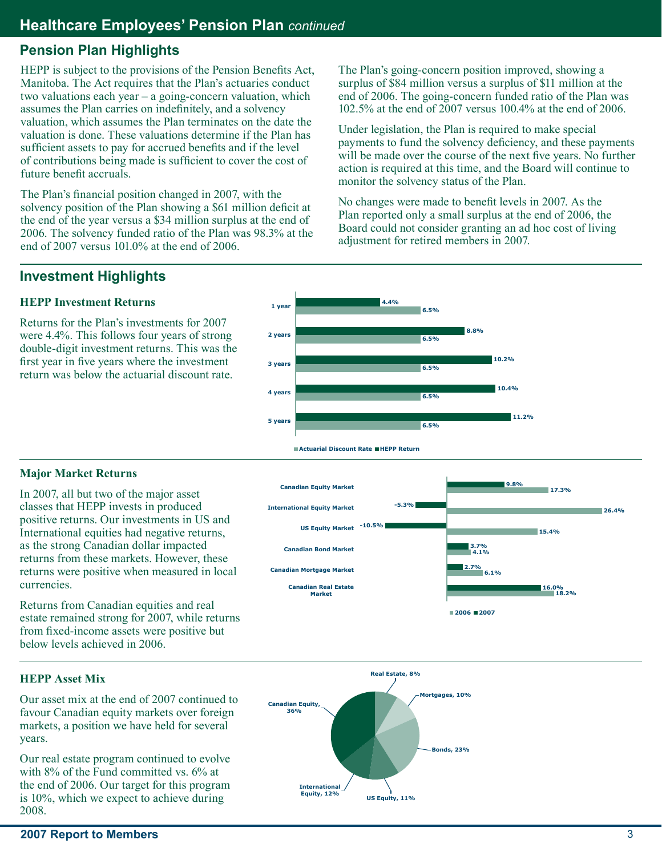## **Pension Plan Highlights**

HEPP is subject to the provisions of the Pension Benefits Act, Manitoba. The Act requires that the Plan's actuaries conduct two valuations each year – a going-concern valuation, which assumes the Plan carries on indefinitely, and a solvency valuation, which assumes the Plan terminates on the date the valuation is done. These valuations determine if the Plan has sufficient assets to pay for accrued benefits and if the level of contributions being made is sufficient to cover the cost of future benefit accruals.

The Plan's financial position changed in 2007, with the solvency position of the Plan showing a \$61 million deficit at the end of the year versus a \$34 million surplus at the end of 2006. The solvency funded ratio of the Plan was 98.3% at the end of 2007 versus 101.0% at the end of 2006.

The Plan's going-concern position improved, showing a surplus of \$84 million versus a surplus of \$11 million at the end of 2006. The going-concern funded ratio of the Plan was 102.5% at the end of 2007 versus 100.4% at the end of 2006.

Under legislation, the Plan is required to make special payments to fund the solvency deficiency, and these payments will be made over the course of the next five years. No further action is required at this time, and the Board will continue to monitor the solvency status of the Plan.

No changes were made to benefit levels in 2007. As the Plan reported only a small surplus at the end of 2006, the Board could not consider granting an ad hoc cost of living adjustment for retired members in 2007.

## **Investment Highlights**

## **HEPP Investment Returns**

Returns for the Plan's investments for 2007 were 4.4%. This follows four years of strong double-digit investment returns. This was the first year in five years where the investment return was below the actuarial discount rate.



### **Major Market Returns**

In 2007, all but two of the major asset classes that HEPP invests in produced positive returns. Our investments in US and International equities had negative returns, as the strong Canadian dollar impacted returns from these markets. However, these returns were positive when measured in local currencies.

Returns from Canadian equities and real estate remained strong for 2007, while returns from fixed-income assets were positive but below levels achieved in 2006.



### **HEPP Asset Mix**

Our asset mix at the end of 2007 continued to favour Canadian equity markets over foreign markets, a position we have held for several years.

Our real estate program continued to evolve with 8% of the Fund committed vs. 6% at the end of 2006. Our target for this program is 10%, which we expect to achieve during 2008.

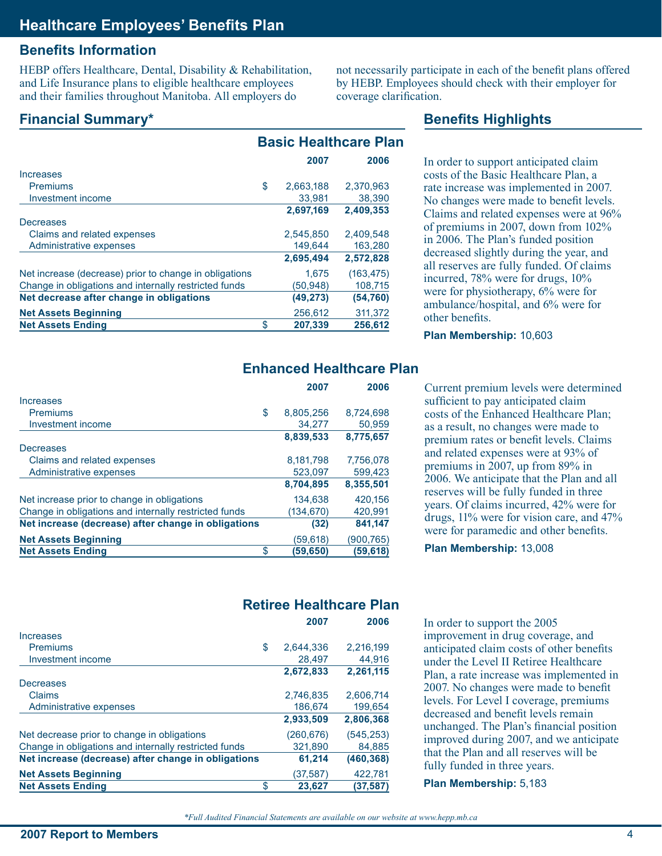## **Benefits Information**

HEBP offers Healthcare, Dental, Disability & Rehabilitation, and Life Insurance plans to eligible healthcare employees and their families throughout Manitoba. All employers do

not necessarily participate in each of the benefit plans offered by HEBP. Employees should check with their employer for coverage clarification.

**Benefits Highlights**

## **Financial Summary\***

|                                                        | <b>Basic Healthcare Plan</b> |           |            |
|--------------------------------------------------------|------------------------------|-----------|------------|
|                                                        |                              | 2007      | 2006       |
| Increases                                              |                              |           |            |
| <b>Premiums</b>                                        | \$                           | 2,663,188 | 2,370,963  |
| Investment income                                      |                              | 33,981    | 38,390     |
|                                                        |                              | 2,697,169 | 2,409,353  |
| Decreases                                              |                              |           |            |
| Claims and related expenses                            |                              | 2.545.850 | 2.409.548  |
| Administrative expenses                                |                              | 149,644   | 163,280    |
|                                                        |                              | 2,695,494 | 2,572,828  |
| Net increase (decrease) prior to change in obligations |                              | 1.675     | (163, 475) |
| Change in obligations and internally restricted funds  |                              | (50,948)  | 108,715    |
| Net decrease after change in obligations               |                              | (49, 273) | (54, 760)  |
| <b>Net Assets Beginning</b>                            |                              | 256,612   | 311,372    |
| <b>Net Assets Ending</b>                               | \$                           | 207,339   | 256.612    |

In order to support anticipated claim costs of the Basic Healthcare Plan, a rate increase was implemented in 2007. No changes were made to benefit levels. Claims and related expenses were at 96% of premiums in 2007, down from 102% in 2006. The Plan's funded position decreased slightly during the year, and all reserves are fully funded. Of claims incurred, 78% were for drugs, 10% were for physiotherapy, 6% were for ambulance/hospital, and 6% were for other benefits.

**Plan Membership:** 10,603

## **Enhanced Healthcare Plan**

|                                                       | 2007            | 2006      |
|-------------------------------------------------------|-----------------|-----------|
| Increases                                             |                 |           |
| <b>Premiums</b>                                       | \$<br>8,805,256 | 8,724,698 |
| Investment income                                     | 34,277          | 50,959    |
|                                                       | 8,839,533       | 8,775,657 |
| Decreases                                             |                 |           |
| Claims and related expenses                           | 8,181,798       | 7,756,078 |
| Administrative expenses                               | 523,097         | 599,423   |
|                                                       | 8,704,895       | 8,355,501 |
| Net increase prior to change in obligations           | 134,638         | 420,156   |
| Change in obligations and internally restricted funds | (134,670)       | 420,991   |
| Net increase (decrease) after change in obligations   | (32)            | 841,147   |
| <b>Net Assets Beginning</b>                           | (59,618)        | (900,765) |
| <b>Net Assets Ending</b>                              | \$<br>(59,650)  | (59,618)  |

Current premium levels were determined sufficient to pay anticipated claim costs of the Enhanced Healthcare Plan; as a result, no changes were made to premium rates or benefit levels. Claims and related expenses were at 93% of premiums in 2007, up from 89% in 2006. We anticipate that the Plan and all reserves will be fully funded in three years. Of claims incurred, 42% were for drugs, 11% were for vision care, and 47% were for paramedic and other benefits.

**Plan Membership:** 13,008

## **Retiree Healthcare Plan**

|                                                       | 2007      | 2006       |
|-------------------------------------------------------|-----------|------------|
| Increases                                             |           |            |
| \$<br><b>Premiums</b>                                 | 2.644.336 | 2.216.199  |
| Investment income                                     | 28.497    | 44,916     |
|                                                       | 2,672,833 | 2,261,115  |
| Decreases                                             |           |            |
| Claims                                                | 2,746,835 | 2,606,714  |
| Administrative expenses                               | 186.674   | 199.654    |
|                                                       | 2,933,509 | 2,806,368  |
| Net decrease prior to change in obligations           | (260,676) | (545, 253) |
| Change in obligations and internally restricted funds | 321,890   | 84,885     |
| Net increase (decrease) after change in obligations   | 61,214    | (460, 368) |
| <b>Net Assets Beginning</b>                           | (37,587)  | 422,781    |
| \$<br><b>Net Assets Ending</b>                        | 23,627    | (37,587)   |

In order to support the 2005 improvement in drug coverage, and anticipated claim costs of other benefits under the Level II Retiree Healthcare Plan, a rate increase was implemented in 2007. No changes were made to benefit levels. For Level I coverage, premiums decreased and benefit levels remain unchanged. The Plan's financial position improved during 2007, and we anticipate that the Plan and all reserves will be fully funded in three years.

**Plan Membership:** 5,183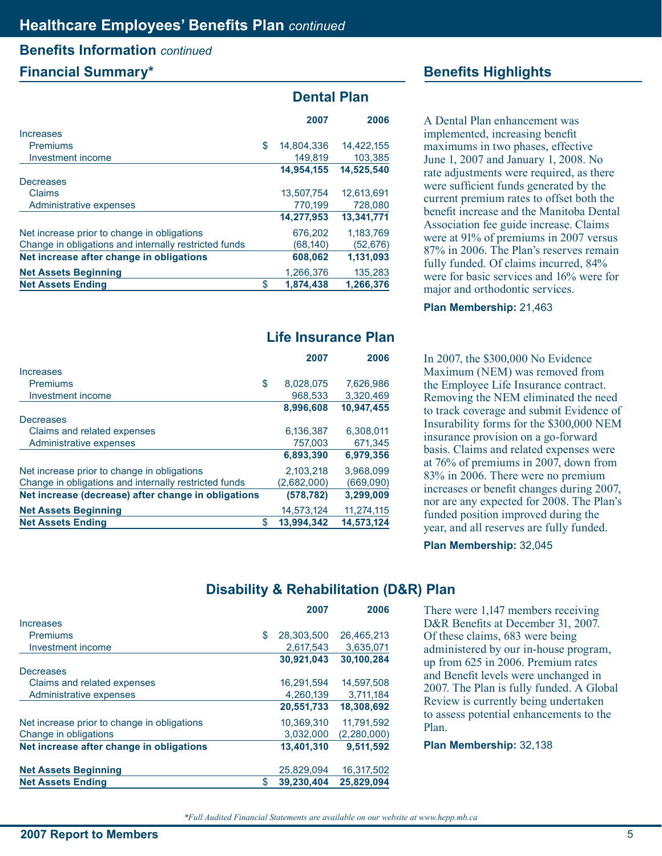# **Benefits Information** *continued*

## **Financial Summary\* Benefits Highlights**

|                                                       | <b>Dental Plan</b> |            |  |
|-------------------------------------------------------|--------------------|------------|--|
|                                                       | 2007               | 2006       |  |
| Increases                                             |                    |            |  |
| Premiums                                              | \$<br>14,804,336   | 14,422,155 |  |
| Investment income                                     | 149,819            | 103,385    |  |
|                                                       | 14,954,155         | 14,525,540 |  |
| Decreases                                             |                    |            |  |
| Claims                                                | 13.507.754         | 12.613.691 |  |
| Administrative expenses                               | 770,199            | 728,080    |  |
|                                                       | 14,277,953         | 13.341.771 |  |
| Net increase prior to change in obligations           | 676,202            | 1,183,769  |  |
| Change in obligations and internally restricted funds | (68, 140)          | (52, 676)  |  |
| Net increase after change in obligations              | 608,062            | 1,131,093  |  |
| <b>Net Assets Beginning</b>                           | 1,266,376          | 135,283    |  |
| <b>Net Assets Ending</b>                              | \$<br>1,874,438    | 1,266,376  |  |

## **Life Insurance Plan**

|                                                       | 2007            | 2006       |
|-------------------------------------------------------|-----------------|------------|
| Increases                                             |                 |            |
| <b>Premiums</b>                                       | \$<br>8,028,075 | 7,626,986  |
| Investment income                                     | 968.533         | 3,320,469  |
|                                                       | 8,996,608       | 10,947,455 |
| Decreases                                             |                 |            |
| Claims and related expenses                           | 6,136,387       | 6.308.011  |
| Administrative expenses                               | 757,003         | 671,345    |
|                                                       | 6,893,390       | 6,979,356  |
| Net increase prior to change in obligations           | 2,103,218       | 3.968.099  |
| Change in obligations and internally restricted funds | (2,682,000)     | (669,090)  |
| Net increase (decrease) after change in obligations   | (578, 782)      | 3,299,009  |
| <b>Net Assets Beginning</b>                           | 14.573.124      | 11.274.115 |
| <b>Net Assets Ending</b>                              | 13,994,342      | 14,573,124 |

A Dental Plan enhancement was implemented, increasing benefit maximums in two phases, effective June 1, 2007 and January 1, 2008. No rate adjustments were required, as there were sufficient funds generated by the current premium rates to offset both the benefit increase and the Manitoba Dental Association fee guide increase. Claims were at 91% of premiums in 2007 versus 87% in 2006. The Plan's reserves remain fully funded. Of claims incurred, 84% were for basic services and 16% were for major and orthodontic services.

**Plan Membership: 21,463** 

In 2007, the \$300,000 No Evidence Maximum (NEM) was removed from the Employee Life Insurance contract. Removing the NEM eliminated the need to track coverage and submit Evidence of Insurability forms for the \$300,000 NEM insurance provision on a go-forward basis. Claims and related expenses were at 76% of premiums in 2007, down from 83% in 2006. There were no premium increases or benefit changes during 2007, nor are any expected for 2008. The Plan's funded position improved during the year, and all reserves are fully funded.

**Plan Membership:** 32,045

## **Disability & Rehabilitation (D&R) Plan**

|                                             | 2007             | 2006        |
|---------------------------------------------|------------------|-------------|
| Increases                                   |                  |             |
| <b>Premiums</b>                             | \$<br>28.303.500 | 26.465.213  |
| Investment income                           | 2,617,543        | 3,635,071   |
|                                             | 30,921,043       | 30,100,284  |
| Decreases                                   |                  |             |
| Claims and related expenses                 | 16,291,594       | 14.597.508  |
| Administrative expenses                     | 4,260,139        | 3,711,184   |
|                                             | 20,551,733       | 18,308,692  |
| Net increase prior to change in obligations | 10.369.310       | 11.791.592  |
| Change in obligations                       | 3,032,000        | (2,280,000) |
| Net increase after change in obligations    | 13,401,310       | 9,511,592   |
| <b>Net Assets Beginning</b>                 | 25.829.094       | 16,317,502  |
| <b>Net Assets Ending</b>                    | \$<br>39,230,404 | 25.829.094  |

There were 1,147 members receiving D&R Benefits at December 31, 2007. Of these claims, 683 were being administered by our in-house program, up from 625 in 2006. Premium rates and Benefit levels were unchanged in 2007. The Plan is fully funded. A Global Review is currently being undertaken to assess potential enhancements to the Plan.

**Plan Membership: 32,138**